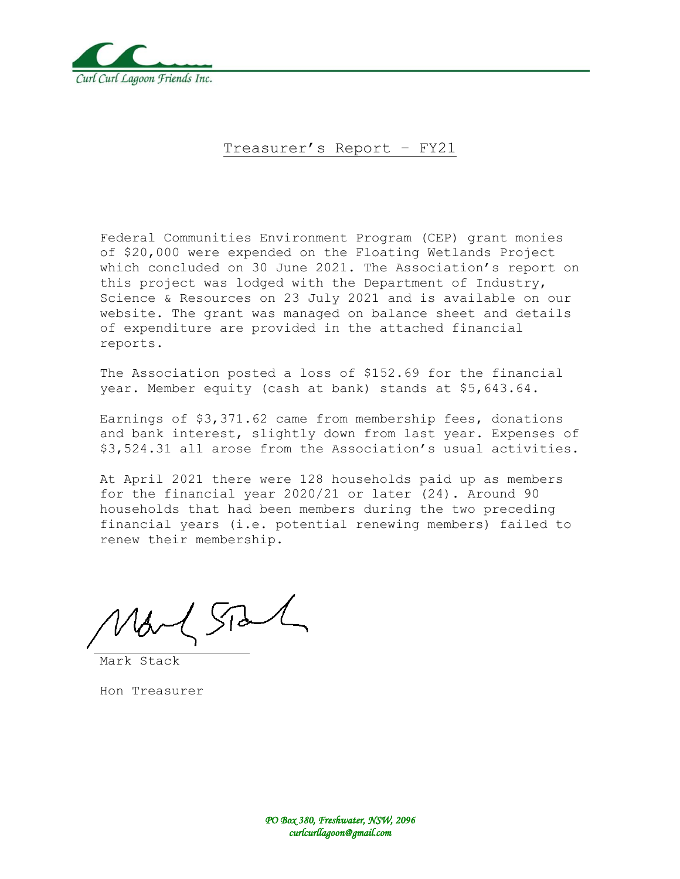

#### Treasurer's Report – FY21

Federal Communities Environment Program (CEP) grant monies of \$20,000 were expended on the Floating Wetlands Project which concluded on 30 June 2021. The Association's report on this project was lodged with the Department of Industry, Science & Resources on 23 July 2021 and is available on our website. The grant was managed on balance sheet and details of expenditure are provided in the attached financial reports.

The Association posted a loss of \$152.69 for the financial year. Member equity (cash at bank) stands at \$5,643.64.

Earnings of \$3,371.62 came from membership fees, donations and bank interest, slightly down from last year. Expenses of \$3,524.31 all arose from the Association's usual activities.

At April 2021 there were 128 households paid up as members for the financial year 2020/21 or later (24). Around 90 households that had been members during the two preceding financial years (i.e. potential renewing members) failed to renew their membership.

 $\sqrt{d}$ 

Mark Stack

Hon Treasurer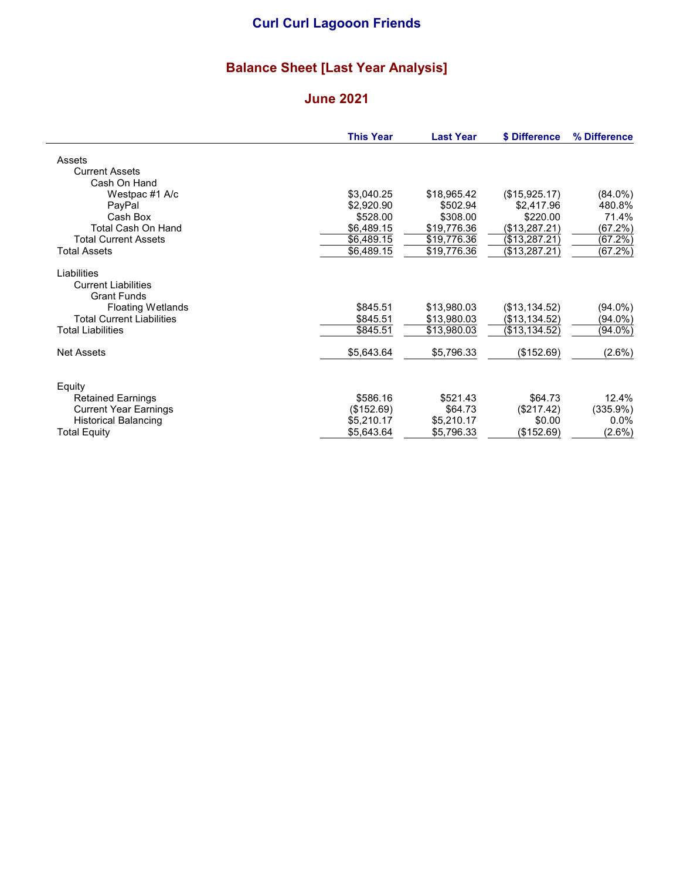# Balance Sheet [Last Year Analysis]

#### June 2021

|                                  | <b>This Year</b> | <b>Last Year</b> | \$ Difference | % Difference |
|----------------------------------|------------------|------------------|---------------|--------------|
| Assets                           |                  |                  |               |              |
| <b>Current Assets</b>            |                  |                  |               |              |
| Cash On Hand                     |                  |                  |               |              |
| Westpac #1 A/c                   | \$3,040.25       | \$18,965.42      | (\$15,925.17) | $(84.0\%)$   |
| PayPal                           | \$2,920.90       | \$502.94         | \$2,417.96    | 480.8%       |
| Cash Box                         | \$528.00         | \$308.00         | \$220.00      | 71.4%        |
| Total Cash On Hand               | \$6,489.15       | \$19,776.36      | (\$13,287.21) | (67.2%)      |
| <b>Total Current Assets</b>      | \$6,489.15       | \$19,776.36      | (\$13,287.21) | (67.2%)      |
| <b>Total Assets</b>              | \$6,489.15       | \$19,776.36      | (\$13,287.21) | (67.2%)      |
| Liabilities                      |                  |                  |               |              |
| <b>Current Liabilities</b>       |                  |                  |               |              |
| <b>Grant Funds</b>               |                  |                  |               |              |
| <b>Floating Wetlands</b>         | \$845.51         | \$13,980.03      | (\$13,134.52) | $(94.0\%)$   |
| <b>Total Current Liabilities</b> | \$845.51         | \$13,980.03      | (\$13,134.52) | (94.0%)      |
| <b>Total Liabilities</b>         | \$845.51         | \$13,980.03      | (\$13,134.52) | (94.0%)      |
| Net Assets                       | \$5,643.64       | \$5,796.33       | (\$152.69)    | $(2.6\%)$    |
| Equity                           |                  |                  |               |              |
| <b>Retained Earnings</b>         | \$586.16         | \$521.43         | \$64.73       | 12.4%        |
| <b>Current Year Earnings</b>     | (\$152.69)       | \$64.73          | (\$217.42)    | (335.9%)     |
| <b>Historical Balancing</b>      | \$5,210.17       | \$5,210.17       | \$0.00        | $0.0\%$      |
| Total Equity                     | \$5,643.64       | \$5,796.33       | (\$152.69)    | $(2.6\%)$    |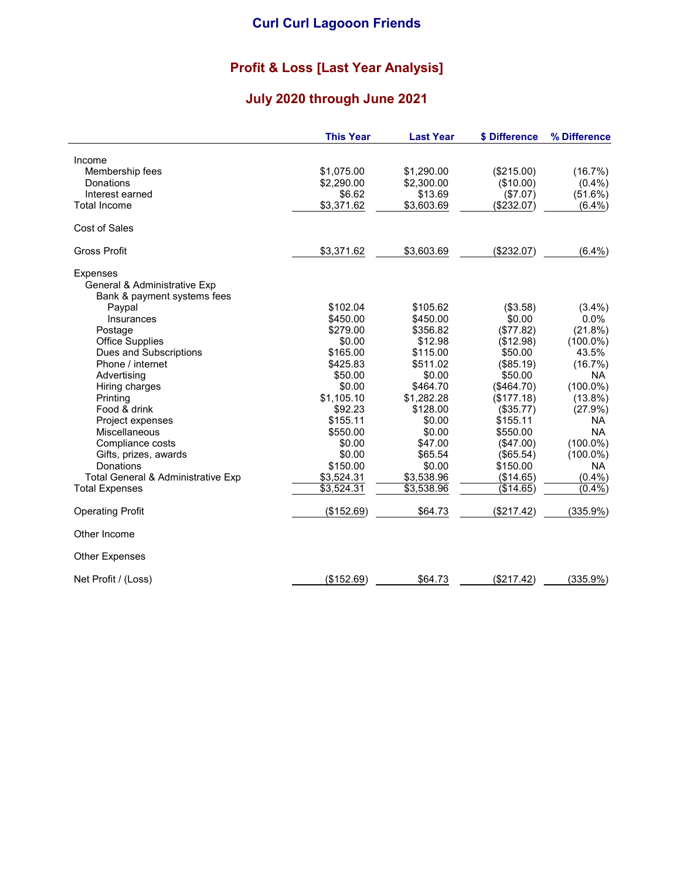### Profit & Loss [Last Year Analysis]

# July 2020 through June 2021

|                                    | <b>This Year</b> | <b>Last Year</b> | \$ Difference | % Difference |
|------------------------------------|------------------|------------------|---------------|--------------|
| Income                             |                  |                  |               |              |
| Membership fees                    | \$1,075.00       | \$1,290.00       | (\$215.00)    | (16.7%)      |
| Donations                          | \$2,290.00       | \$2,300.00       | (\$10.00)     | $(0.4\%)$    |
| Interest earned                    | \$6.62           | \$13.69          | (\$7.07)      | (51.6%)      |
| <b>Total Income</b>                | \$3,371.62       | \$3,603.69       | (\$232.07)    | $(6.4\%)$    |
| Cost of Sales                      |                  |                  |               |              |
| <b>Gross Profit</b>                | \$3,371.62       | \$3,603.69       | (\$232.07)    | $(6.4\%)$    |
| <b>Expenses</b>                    |                  |                  |               |              |
| General & Administrative Exp       |                  |                  |               |              |
| Bank & payment systems fees        |                  |                  |               |              |
| Paypal                             | \$102.04         | \$105.62         | (\$3.58)      | $(3.4\%)$    |
| Insurances                         | \$450.00         | \$450.00         | \$0.00        | 0.0%         |
| Postage                            | \$279.00         | \$356.82         | (\$77.82)     | (21.8%)      |
| <b>Office Supplies</b>             | \$0.00           | \$12.98          | (\$12.98)     | $(100.0\%)$  |
| Dues and Subscriptions             | \$165.00         | \$115.00         | \$50.00       | 43.5%        |
| Phone / internet                   | \$425.83         | \$511.02         | (\$85.19)     | (16.7%)      |
| Advertising                        | \$50.00          | \$0.00           | \$50.00       | <b>NA</b>    |
| Hiring charges                     | \$0.00           | \$464.70         | (\$464.70)    | $(100.0\%)$  |
| Printing                           | \$1,105.10       | \$1,282.28       | (\$177.18)    | $(13.8\%)$   |
| Food & drink                       | \$92.23          | \$128.00         | (\$35.77)     | (27.9%)      |
| Project expenses                   | \$155.11         | \$0.00           | \$155.11      | NA.          |
| Miscellaneous                      | \$550.00         | \$0.00           | \$550.00      | <b>NA</b>    |
| Compliance costs                   | \$0.00           | \$47.00          | $($ \$47.00)  | $(100.0\%)$  |
| Gifts, prizes, awards              | \$0.00           | \$65.54          | (\$65.54)     | $(100.0\%)$  |
| Donations                          | \$150.00         | \$0.00           | \$150.00      | <b>NA</b>    |
| Total General & Administrative Exp | \$3,524.31       | \$3,538.96       | (\$14.65)     | (0.4% )      |
| <b>Total Expenses</b>              | \$3,524.31       | \$3,538.96       | (\$14.65)     | (0.4%        |
| <b>Operating Profit</b>            | (\$152.69)       | \$64.73          | (\$217.42)    | (335.9%)     |
| Other Income                       |                  |                  |               |              |
| <b>Other Expenses</b>              |                  |                  |               |              |
| Net Profit / (Loss)                | (\$152.69)       | \$64.73          | (\$217.42)    | (335.9%)     |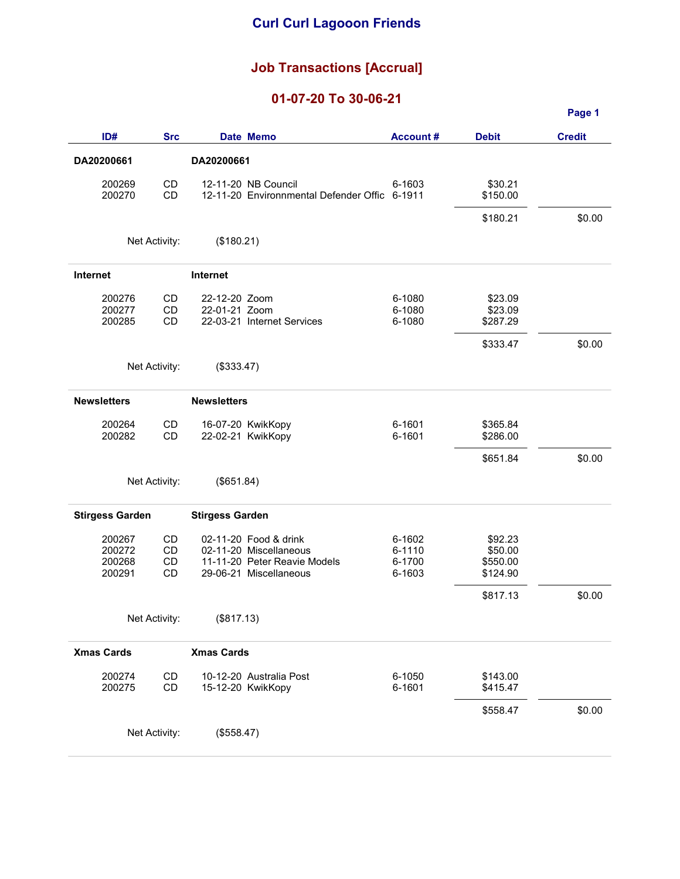#### Job Transactions [Accrual]

#### 01-07-20 To 30-06-21

|                        |               |                        |                                                        |                  |                     | Page 1        |
|------------------------|---------------|------------------------|--------------------------------------------------------|------------------|---------------------|---------------|
| ID#                    | <b>Src</b>    |                        | Date Memo                                              | <b>Account#</b>  | <b>Debit</b>        | <b>Credit</b> |
| DA20200661             |               | DA20200661             |                                                        |                  |                     |               |
| 200269                 | CD            |                        | 12-11-20 NB Council                                    | 6-1603           | \$30.21             |               |
| 200270                 | <b>CD</b>     |                        | 12-11-20 Environnmental Defender Offic 6-1911          |                  | \$150.00            |               |
|                        |               |                        |                                                        |                  | \$180.21            | \$0.00        |
|                        | Net Activity: | (\$180.21)             |                                                        |                  |                     |               |
| <b>Internet</b>        |               | Internet               |                                                        |                  |                     |               |
| 200276                 | CD            | 22-12-20 Zoom          |                                                        | 6-1080           | \$23.09             |               |
| 200277<br>200285       | CD<br>CD      | 22-01-21 Zoom          | 22-03-21 Internet Services                             | 6-1080<br>6-1080 | \$23.09<br>\$287.29 |               |
|                        |               |                        |                                                        |                  | \$333.47            | \$0.00        |
|                        |               |                        |                                                        |                  |                     |               |
|                        | Net Activity: | (\$333.47)             |                                                        |                  |                     |               |
| <b>Newsletters</b>     |               | <b>Newsletters</b>     |                                                        |                  |                     |               |
| 200264                 | CD            |                        | 16-07-20 KwikKopy                                      | 6-1601           | \$365.84            |               |
| 200282                 | CD            |                        | 22-02-21 KwikKopy                                      | 6-1601           | \$286.00            |               |
|                        |               |                        |                                                        |                  | \$651.84            | \$0.00        |
|                        | Net Activity: | (\$651.84)             |                                                        |                  |                     |               |
| <b>Stirgess Garden</b> |               | <b>Stirgess Garden</b> |                                                        |                  |                     |               |
| 200267                 | CD            |                        | 02-11-20 Food & drink                                  | 6-1602           | \$92.23             |               |
| 200272<br>200268       | CD<br>CD      |                        | 02-11-20 Miscellaneous<br>11-11-20 Peter Reavie Models | 6-1110<br>6-1700 | \$50.00<br>\$550.00 |               |
| 200291                 | CD            |                        | 29-06-21 Miscellaneous                                 | 6-1603           | \$124.90            |               |
|                        |               |                        |                                                        |                  | \$817.13            | \$0.00        |
|                        | Net Activity: | (\$817.13)             |                                                        |                  |                     |               |
| <b>Xmas Cards</b>      |               | <b>Xmas Cards</b>      |                                                        |                  |                     |               |
| 200274                 | CD            |                        | 10-12-20 Australia Post                                | 6-1050           | \$143.00            |               |
| 200275                 | CD            |                        | 15-12-20 KwikKopy                                      | 6-1601           | \$415.47            |               |
|                        |               |                        |                                                        |                  | \$558.47            | \$0.00        |
|                        | Net Activity: | (\$558.47)             |                                                        |                  |                     |               |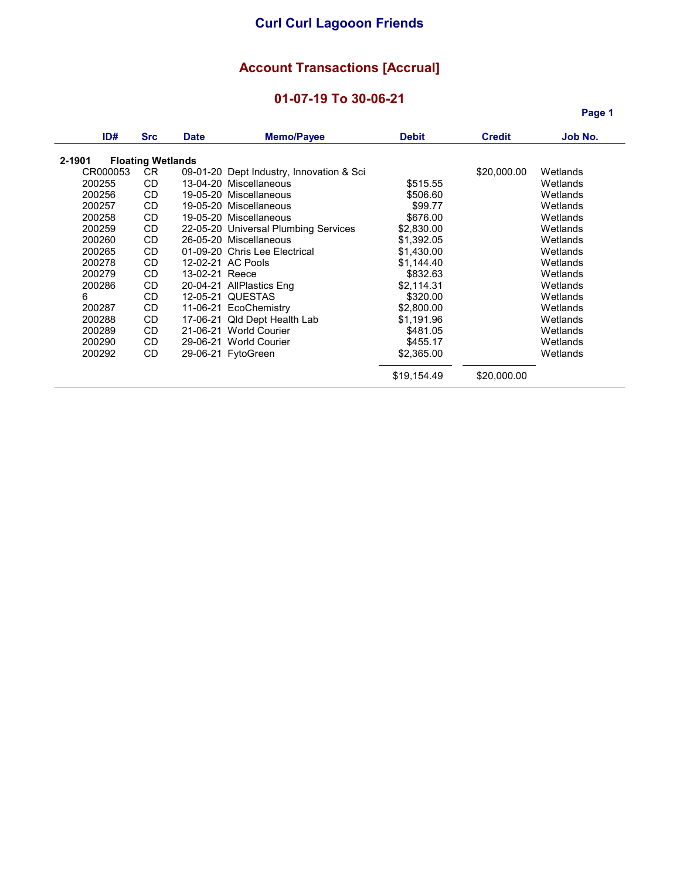### Account Transactions [Accrual]

#### 01-07-19 To 30-06-21

Page 1

| ID#      | <b>Src</b>               | <b>Date</b>    | <b>Memo/Payee</b>                        | <b>Debit</b> | <b>Credit</b> | Job No.  |
|----------|--------------------------|----------------|------------------------------------------|--------------|---------------|----------|
| 2-1901   | <b>Floating Wetlands</b> |                |                                          |              |               |          |
| CR000053 | CR.                      |                | 09-01-20 Dept Industry, Innovation & Sci |              | \$20,000.00   | Wetlands |
| 200255   | <b>CD</b>                |                | 13-04-20 Miscellaneous                   | \$515.55     |               | Wetlands |
| 200256   | CD.                      |                | 19-05-20 Miscellaneous                   | \$506.60     |               | Wetlands |
| 200257   | CD.                      |                | 19-05-20 Miscellaneous                   | \$99.77      |               | Wetlands |
|          |                          |                |                                          |              |               |          |
| 200258   | CD.                      |                | 19-05-20 Miscellaneous                   | \$676.00     |               | Wetlands |
| 200259   | CD.                      |                | 22-05-20 Universal Plumbing Services     | \$2,830.00   |               | Wetlands |
| 200260   | <b>CD</b>                |                | 26-05-20 Miscellaneous                   | \$1.392.05   |               | Wetlands |
| 200265   | CD.                      |                | 01-09-20 Chris Lee Electrical            | \$1,430.00   |               | Wetlands |
| 200278   | <b>CD</b>                |                | 12-02-21 AC Pools                        | \$1,144.40   |               | Wetlands |
| 200279   | CD.                      | 13-02-21 Reece |                                          | \$832.63     |               | Wetlands |
| 200286   | CD                       |                | 20-04-21 AllPlastics Eng                 | \$2,114.31   |               | Wetlands |
| 6        | <b>CD</b>                |                | 12-05-21 QUESTAS                         | \$320.00     |               | Wetlands |
| 200287   | CD.                      |                | 11-06-21 EcoChemistry                    | \$2,800.00   |               | Wetlands |
| 200288   | CD.                      |                | 17-06-21 Qld Dept Health Lab             | \$1,191.96   |               | Wetlands |
| 200289   | CD.                      |                | 21-06-21 World Courier                   | \$481.05     |               | Wetlands |
| 200290   | CD.                      |                | 29-06-21 World Courier                   | \$455.17     |               | Wetlands |
| 200292   | <b>CD</b>                |                | 29-06-21 FytoGreen                       | \$2,365.00   |               | Wetlands |
|          |                          |                |                                          |              |               |          |
|          |                          |                |                                          | \$19,154.49  | \$20,000.00   |          |